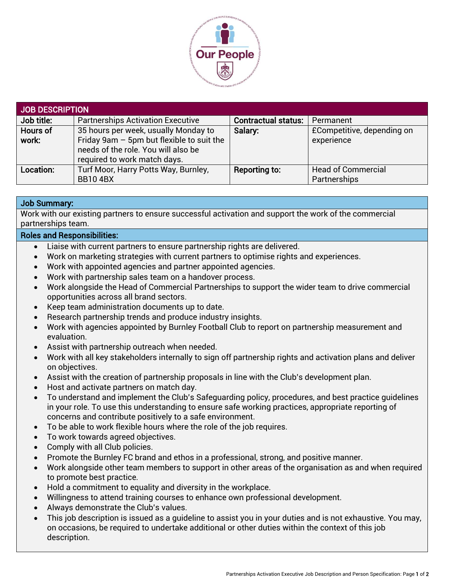

| JOB DESCRIPTION |                                             |                            |                            |  |
|-----------------|---------------------------------------------|----------------------------|----------------------------|--|
| Job title:      | <b>Partnerships Activation Executive</b>    | <b>Contractual status:</b> | Permanent                  |  |
| Hours of        | 35 hours per week, usually Monday to        | Salary:                    | £Competitive, depending on |  |
| work:           | Friday 9am $-$ 5pm but flexible to suit the |                            | experience                 |  |
|                 | needs of the role. You will also be         |                            |                            |  |
|                 | required to work match days.                |                            |                            |  |
| Location:       | Turf Moor, Harry Potts Way, Burnley,        | Reporting to:              | <b>Head of Commercial</b>  |  |
|                 | <b>BB104BX</b>                              |                            | Partnerships               |  |

## Job Summary:

Work with our existing partners to ensure successful activation and support the work of the commercial partnerships team.

## Roles and Responsibilities:

- Liaise with current partners to ensure partnership rights are delivered.
- Work on marketing strategies with current partners to optimise rights and experiences.
- Work with appointed agencies and partner appointed agencies.
- Work with partnership sales team on a handover process.
- Work alongside the Head of Commercial Partnerships to support the wider team to drive commercial opportunities across all brand sectors.
- Keep team administration documents up to date.
- Research partnership trends and produce industry insights.
- Work with agencies appointed by Burnley Football Club to report on partnership measurement and evaluation.
- Assist with partnership outreach when needed.
- Work with all key stakeholders internally to sign off partnership rights and activation plans and deliver on objectives.
- Assist with the creation of partnership proposals in line with the Club's development plan.
- Host and activate partners on match day.
- To understand and implement the Club's Safeguarding policy, procedures, and best practice guidelines in your role. To use this understanding to ensure safe working practices, appropriate reporting of concerns and contribute positively to a safe environment.
- To be able to work flexible hours where the role of the job requires.
- To work towards agreed objectives.
- Comply with all Club policies.
- Promote the Burnley FC brand and ethos in a professional, strong, and positive manner.
- Work alongside other team members to support in other areas of the organisation as and when required to promote best practice.
- Hold a commitment to equality and diversity in the workplace.
- Willingness to attend training courses to enhance own professional development.
- Always demonstrate the Club's values.
- This job description is issued as a guideline to assist you in your duties and is not exhaustive. You may, on occasions, be required to undertake additional or other duties within the context of this job description.